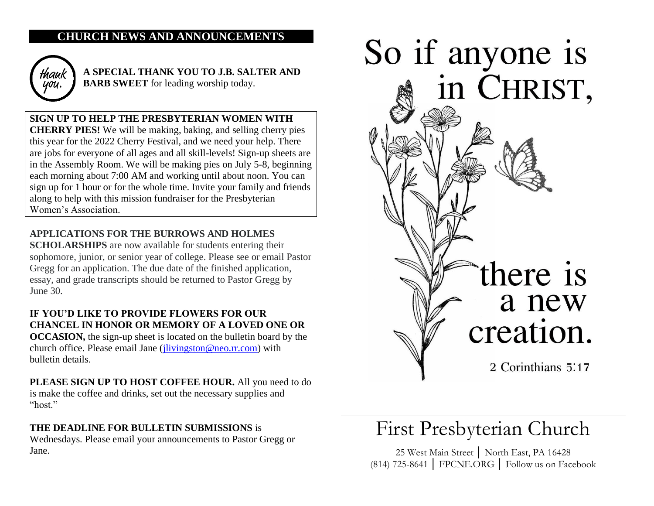## **CHURCH NEWS AND ANNOUNCEMENTS**



**A SPECIAL THANK YOU TO J.B. SALTER AND BARB SWEET** for leading worship today.

**SIGN UP TO HELP THE PRESBYTERIAN WOMEN WITH CHERRY PIES!** We will be making, baking, and selling cherry pies this year for the 2022 Cherry Festival, and we need your help. There are jobs for everyone of all ages and all skill-levels! Sign-up sheets are in the Assembly Room. We will be making pies on July 5-8, beginning each morning about 7:00 AM and working until about noon. You can sign up for 1 hour or for the whole time. Invite your family and friends along to help with this mission fundraiser for the Presbyterian Women's Association.

## **APPLICATIONS FOR THE BURROWS AND HOLMES**

**SCHOLARSHIPS** are now available for students entering their sophomore, junior, or senior year of college. Please see or email Pastor Gregg for an application. The due date of the finished application, essay, and grade transcripts should be returned to Pastor Gregg by June 30.

## **IF YOU'D LIKE TO PROVIDE FLOWERS FOR OUR CHANCEL IN HONOR OR MEMORY OF A LOVED ONE OR**

**OCCASION,** the sign-up sheet is located on the bulletin board by the church office. Please email Jane [\(jlivingston@neo.rr.com\)](mailto:jlivingston@neo.rr.com) with bulletin details.

**PLEASE SIGN UP TO HOST COFFEE HOUR.** All you need to do is make the coffee and drinks, set out the necessary supplies and "host."

### **THE DEADLINE FOR BULLETIN SUBMISSIONS** is

Wednesdays. Please email your announcements to Pastor Gregg or Jane.



# First Presbyterian Church

25 West Main Street │ North East, PA 16428 (814) 725-8641 │ FPCNE.ORG │ Follow us on Facebook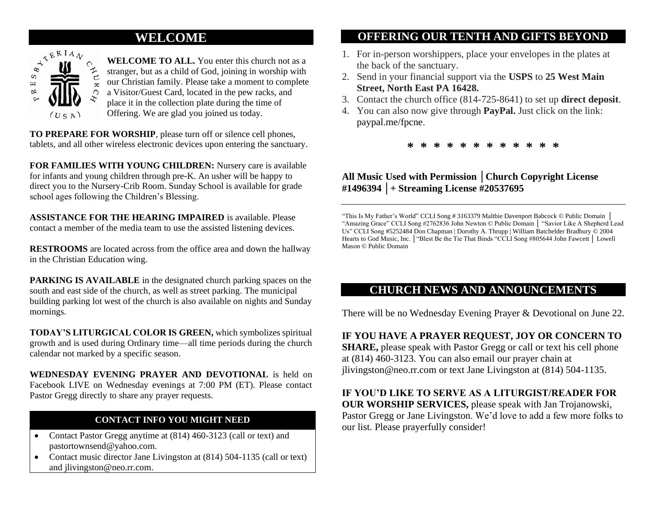## **WELCOME**



**WELCOME TO ALL.** You enter this church not as a stranger, but as a child of God, joining in worship with our Christian family. Please take a moment to complete a Visitor/Guest Card, located in the pew racks, and place it in the collection plate during the time of Offering. We are glad you joined us today.

**TO PREPARE FOR WORSHIP**, please turn off or silence cell phones, tablets, and all other wireless electronic devices upon entering the sanctuary.

**FOR FAMILIES WITH YOUNG CHILDREN:** Nursery care is available for infants and young children through pre-K. An usher will be happy to direct you to the Nursery-Crib Room. Sunday School is available for grade school ages following the Children's Blessing.

**ASSISTANCE FOR THE HEARING IMPAIRED** is available. Please contact a member of the media team to use the assisted listening devices.

**RESTROOMS** are located across from the office area and down the hallway in the Christian Education wing.

**PARKING IS AVAILABLE** in the designated church parking spaces on the south and east side of the church, as well as street parking. The municipal building parking lot west of the church is also available on nights and Sunday mornings.

**TODAY'S LITURGICAL COLOR IS GREEN,** which symbolizes spiritual growth and is used during Ordinary time—all time periods during the church calendar not marked by a specific season.

**WEDNESDAY EVENING PRAYER AND DEVOTIONAL** is held on Facebook LIVE on Wednesday evenings at 7:00 PM (ET). Please contact Pastor Gregg directly to share any prayer requests.

## **CONTACT INFO YOU MIGHT NEED**

- Contact Pastor Gregg anytime at (814) 460-3123 (call or text) and pastortownsend@yahoo.com.
- Contact music director Jane Livingston at  $(814)$  504-1135 (call or text) and jlivingston@neo.rr.com.

## **OFFERING OUR TENTH AND GIFTS BEYOND**

- 1. For in-person worshippers, place your envelopes in the plates at the back of the sanctuary.
- 2. Send in your financial support via the **USPS** to **25 West Main Street, North East PA 16428.**
- 3. Contact the church office (814-725-8641) to set up **direct deposit**.
- 4. You can also now give through **PayPal.** Just click on the link: paypal.me/fpcne.

**\* \* \* \* \* \* \* \* \* \* \* \***

## **All Music Used with Permission │Church Copyright License #1496394 │+ Streaming License #20537695**

"This Is My Father's World" CCLI Song # 3163379 Maltbie Davenport Babcock © Public Domain │ "Amazing Grace" CCLI Song #2762836 John Newton © Public Domain │ "Savior Like A Shepherd Lead Us" CCLI Song #5252484 Don Chapman | Dorothy A. Thrupp | William Batchelder Bradbury © 2004 Hearts to God Music, Inc. │"Blest Be the Tie That Binds "CCLI Song #805644 John Fawcett │ Lowell Mason © Public Domain

## **CHURCH NEWS AND ANNOUNCEMENTS**

There will be no Wednesday Evening Prayer & Devotional on June 22.

**IF YOU HAVE A PRAYER REQUEST, JOY OR CONCERN TO SHARE**, please speak with Pastor Gregg or call or text his cell phone at (814) 460-3123. You can also email our prayer chain at jlivingston@neo.rr.com or text Jane Livingston at (814) 504-1135.

**IF YOU'D LIKE TO SERVE AS A LITURGIST/READER FOR OUR WORSHIP SERVICES,** please speak with Jan Trojanowski, Pastor Gregg or Jane Livingston. We'd love to add a few more folks to our list. Please prayerfully consider!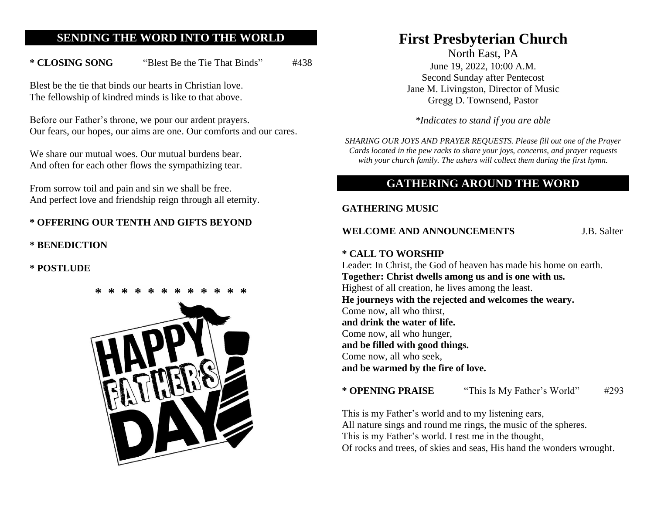## **SENDING THE WORD INTO THE WORLD**

\* **CLOSING SONG** "Blest Be the Tie That Binds" #438

Blest be the tie that binds our hearts in Christian love. The fellowship of kindred minds is like to that above.

Before our Father's throne, we pour our ardent prayers. Our fears, our hopes, our aims are one. Our comforts and our cares.

We share our mutual woes. Our mutual burdens bear. And often for each other flows the sympathizing tear.

From sorrow toil and pain and sin we shall be free. And perfect love and friendship reign through all eternity.

## **\* OFFERING OUR TENTH AND GIFTS BEYOND**

**\* BENEDICTION** 

**\* POSTLUDE**



# **First Presbyterian Church**

North East, PA June 19, 2022, 10:00 A.M. Second Sunday after Pentecost Jane M. Livingston, Director of Music Gregg D. Townsend, Pastor

*\*Indicates to stand if you are able* 

*SHARING OUR JOYS AND PRAYER REQUESTS. Please fill out one of the Prayer Cards located in the pew racks to share your joys, concerns, and prayer requests with your church family. The ushers will collect them during the first hymn.*

## **GATHERING AROUND THE WORD**

#### **GATHERING MUSIC**

**WELCOME AND ANNOUNCEMENTS** J.B. Salter

#### **\* CALL TO WORSHIP**

Leader: In Christ, the God of heaven has made his home on earth. **Together: Christ dwells among us and is one with us.** Highest of all creation, he lives among the least. **He journeys with the rejected and welcomes the weary.** Come now, all who thirst, **and drink the water of life.** Come now, all who hunger, **and be filled with good things.** Come now, all who seek, **and be warmed by the fire of love.**

**\* OPENING PRAISE** "This Is My Father's World" #293

This is my Father's world and to my listening ears, All nature sings and round me rings, the music of the spheres. This is my Father's world. I rest me in the thought, Of rocks and trees, of skies and seas, His hand the wonders wrought.